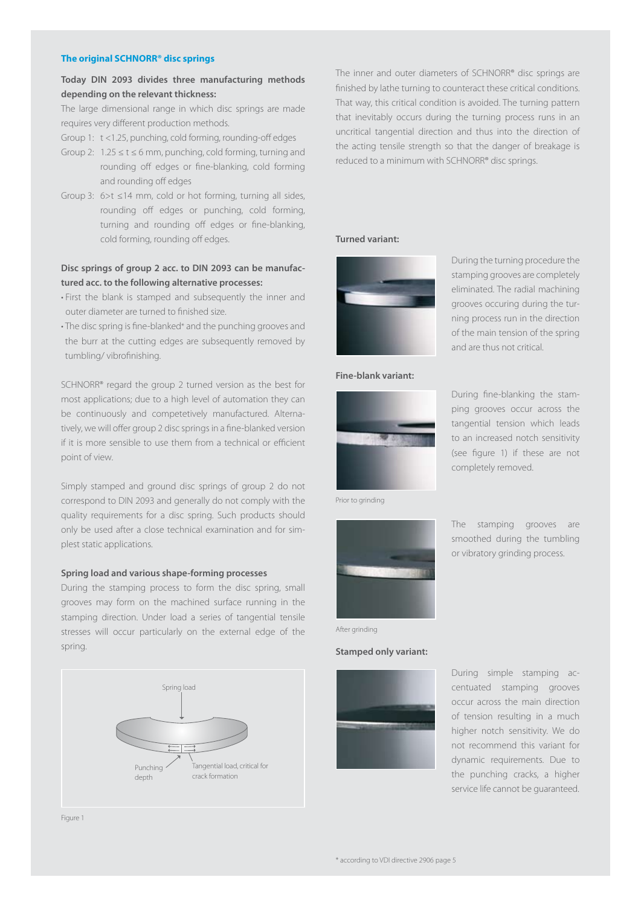### **The original SCHNORR® disc springs**

# **Today DIN 2093 divides three manufacturing methods depending on the relevant thickness:**

The large dimensional range in which disc springs are made requires very different production methods.

Group 1: t <1.25, punching, cold forming, rounding-off edges

- Group 2:  $1.25 \le t \le 6$  mm, punching, cold forming, turning and rounding off edges or fine-blanking, cold forming and rounding off edges
- Group 3: 6>t ≤14 mm, cold or hot forming, turning all sides, rounding off edges or punching, cold forming, turning and rounding off edges or fine-blanking, cold forming, rounding off edges.

### **Disc springs of group 2 acc. to DIN 2093 can be manufactured acc. to the following alternative processes:**

- First the blank is stamped and subsequently the inner and outer diameter are turned to finished size.
- The disc spring is fine-blanked\* and the punching grooves and the burr at the cutting edges are subsequently removed by tumbling/ vibrofinishing.

SCHNORR® regard the group 2 turned version as the best for most applications; due to a high level of automation they can be continuously and competetively manufactured. Alternatively, we will offer group 2 disc springs in a fine-blanked version if it is more sensible to use them from a technical or efficient point of view.

Simply stamped and ground disc springs of group 2 do not correspond to DIN 2093 and generally do not comply with the quality requirements for a disc spring. Such products should only be used after a close technical examination and for simplest static applications.

### **Spring load and various shape-forming processes**

During the stamping process to form the disc spring, small grooves may form on the machined surface running in the stamping direction. Under load a series of tangential tensile stresses will occur particularly on the external edge of the spring.



The inner and outer diameters of SCHNORR® disc springs are finished by lathe turning to counteract these critical conditions. That way, this critical condition is avoided. The turning pattern that inevitably occurs during the turning process runs in an uncritical tangential direction and thus into the direction of the acting tensile strength so that the danger of breakage is reduced to a minimum with SCHNORR® disc springs.

### **Turned variant:**



During the turning procedure the stamping grooves are completely eliminated. The radial machining grooves occuring during the turning process run in the direction of the main tension of the spring and are thus not critical.

During fine-blanking the stamping grooves occur across the tangential tension which leads to an increased notch sensitivity (see figure 1) if these are not

The stamping grooves are smoothed during the tumbling or vibratory grinding process.

completely removed.

### **Fine-blank variant:**



Prior to grinding



#### After grinding

### **Stamped only variant:**



During simple stamping accentuated stamping grooves occur across the main direction of tension resulting in a much higher notch sensitivity. We do not recommend this variant for dynamic requirements. Due to the punching cracks, a higher service life cannot be guaranteed.

Figure 1